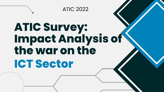# **ATIC Survey: Impact Analysis of the war on the ICT Sector**

ATIC 2022

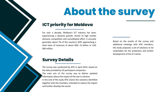# **About the survey**

#### **ICT priority for Moldova**

#### **Survey Details**

For over a decade, Moldova's ICT industry has been experiencing a dynamic growth, thanks to high market demand, competition and consolidated effort. It annually generates about 7% of the country's GDP, approaching a total value of revenues of about MDL 15 billion or USD 900 million.

The survey was conducted by ATIC in April 2022. based on the data provided by 32 participant companies.

The main aim of this survey was to deliver updated information about the impact of the war in Ukraine.

In the end of the study ATIC shares the solutions identified together with the members, intended to reduce the impact and further develop the sector.

Based on the results of the survey and additional meetings with ATIC members, the study proposes a set of solutions to be undertaken for the protection and further development of the ICT sector.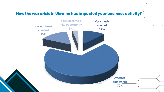#### **How the war crisis in Ukraine has impacted your business activity?**

**Affected somewhat 70%**

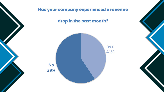

#### **drop in the past month?**





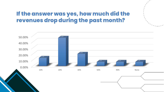### **If the answer was yes, how much did the revenues drop during the past month?**

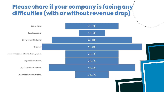### **Please share if your company is facing any difficulties (with or without revenue drop)**

| Loss of clients                                 |  |  | 26.7% |
|-------------------------------------------------|--|--|-------|
| Delay in payments                               |  |  | 13.3% |
| Clients' financial instability                  |  |  | 40.0% |
| Relocation                                      |  |  | 50.0% |
| Loss of market share (Ukraine, Belarus, Russia) |  |  | 26.7% |
| Suspended investments                           |  |  | 26.7% |
| Loss of new clients/contracts                   |  |  | 43.3% |
| International travel restrictions               |  |  | 16.7% |

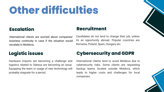# **Other difficulties**

#### **Escalation**

International clients are worried about companies' business continuity in case if the situation would escalate in Moldova.

#### **Logistic issues**

Hardware imports are becoming a challenge and logistics related to Odessa are becoming an issue. Equipping the team or usage of new technology will probably stagnate for a period.

#### **Recruitment**

Candidates do not tend to change their job, unless its an opportunity abroad. Popular countries are Romania, Poland, Spain, Hungary etc.

### **Cybersecurity and GDPR**

International clients tend to avoid Moldova due to cybersecurity risks. Some clients are requesting backup teams located outside Moldova, which leads to higher costs and challenges for local companies.



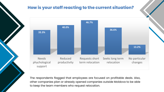The respondents flagged that employees are focused on profitable deals. Also, other companies plan or already opened companies outside Moldova to be able to keep the team members who request relocation.

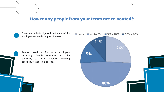#### **How many people from your team are relocated?**





employees returned in approx. 2 weeks.

Another trend is for more employees requesting flexible schedules and the possibility to work remotely (including possibility to work from abroad).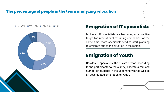#### **The percentage of people in the team analyzing relocation**



### **EXECUTE:** THE EMIGRATION Of IT specialists

#### **Emigration of Youth**

Moldovan IT specialists are becoming an attractive target for international recruiting companies. At the same time, more specialists tend to start planning to emigrate due to the situation in the region.

Besides IT specialists, the private sector (according to the participants to the survey) expects a reduced number of students in the upcoming year as well as an accentuated emigration of youth.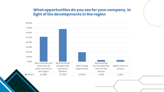#### **What opportunities do you see for your company, in light of the developments in the region**



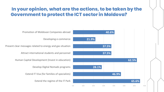#### **In your opinion, what are the actions, to be taken by the Government to protect the ICT sector in Moldova?**



Extend the regime of the IT Park

Extend IT Visa (for families of specialists)

Develop Digital Nomads programs

Human Capital Development (Invest in education)

Attract international students and personnel

Present clear messages related to energy and gas situation

Developing e-commerce

Promotion of Moldovan Companies abroad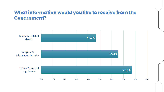#### **What information would you like to receive from the Government?**

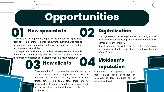# **Opportunities**

### **New specialists Digitalization**<br>There is a great opportunity right now to attract new specialists<br>The digitalization of the legal proportunity right now to attract new specialists

### **New clients 03**<br>There

**02**

There is a great opportunity right now to attract new specialists from different countries. Prior to the current situation, it was hard to relocate someone to Moldova, but now our country it's not so bad for numerous nationalities.

The respondents still are not confident that Moldova would be able to retain the personnel long term. We shall find solutions to scale the attraction of foreign specialists to make it a real opportunity.

> There are a lot of companies that are affected by the current situation, even companies with their own products cut the costs, as they forecast unstable times, but at the same time, there are new opportunities to gain the market for a considerable number of clients, that was focused in the affected countries.

The digitalization of the legal process, will bring a lot of opportunities for attracting new investments, and new companies on the market.

Digitalization is especially required in the e-commerce and banking sector, to ensure flexibility and globalization of the IT sector.

# **Moldova's 04 reputation**

Outsource and promote digital transformation tools developed in Moldova, as local products to be resoled worldwide.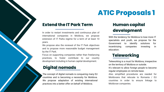## **ATIC Proposals 1**

#### **Extend the IT Park Term**

#### **Teleworking**

#### **Digital nomads**

## **Human capital**

In order to restart investments and continuous plan of **development** international companies in Moldova, we propose extension of IT Parks regime for a term of at least 10 years.

We propose also the reviewal of the IT Park objectives and to propose more reasonable budget management by the IT Park.

Focus on supporting companies rather than freelancing practices, to foster contribute to our country development including in human capital development. Teleworking is a must for Moldova, irrespective

on the territory of Moldova or outside.

It's relevant to allow foreign people to become regular employees on remote base.

Also simplified procedures are needed for Moldovans that relocate to Romania / EU countries in order to ensure linkage to Moldovan companies.

The concept of digital nomads is conquering many EU countries and is becoming a necessity for Moldova. We propose adaptation of existing international practices into a better offer on behalf of Moldova.

With the tendency for Moldova to lose more IT specialists and youth, we propose for the Government to identify solutions for incentivizing companies investing in education.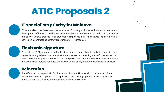## **ATIC Proposals 2**



#### **Electronic signature**

#### **IT specialists priority for Moldova**

#### **Relocation**

Promotion of E-Signatures validation in other countries and allow the private sector to use esignature in any relation with the Government as well as ensuring the enforcement of such rules. Allow for e-signature to be used as valid prove of collaboration between local companies and clients from outside countries or allow the usage of any proof of acceptance for services.



IT sector allows for Moldovans to receive an EU salary at home and allows for continuous development of human capital in Moldova. Besides the promotion of ICT education, relocation and teleworking we propose for all students or employees in IT to be allowed to perform military service on a contract basis if they are working for IT companies.



Simplification of paperwork for Belarus / Russian IT specialists' relocation. Some researches state that plenty of IT specialists are looking options to leave Russia or Belarus. Might be a chance to attract some of those to Moldova





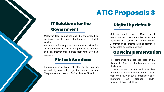

#### **IT Solutions for the Government**

#### **Digital by default**

#### **Fintech Sandbox**

#### **GDPR implementation**

Moldovan local companies shall be encouraged to participate in the local development of digital services.

We propose for acquisition contracts to allow for white label development of the products to be later sold on international market (following Estonian example).

Moldova shall accept 100% virtual interaction with the authorities to ensure resilience in cases of force major. Confirmation documents in digital format to be accepted by local authorities.

Fintech sector is highly affected by the war and generally by non existing regulations in open banking. We propose the creation of a Sandbox for Fintech.

For companies that process data of EU clients, the Schrems II ruling poses new challenges.

If the EU would consider Moldova's data protection regulations as adequate, it would make the activity of such companies easier. Therefore, we propose GDPR implementation in Moldova.

## **ATIC Proposals 3**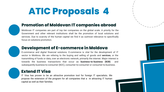## **ATIC Proposals 4**

#### **Development of E-commerce in Moldova**

#### **Promotion of Moldovan IT companies abroad**

#### **Extend IT Visa**

E-commerce and digital financial solutions. E-commerce is vital for the development of IT sector in Moldova. We are refering to the buying and selling of goods and **services**, or the transmitting of funds or data, over an electronic network, primarily the internet. Major interest is towards the business transactions that occur as **business-to-business (B2B)** and subsequently business-to-consumer (B2C), consumer-to-consumer or consumer-to-business.



Moldovan IT companies are part of top tier companies on the global scale. A priority for the Government and other relevant institutions shall be the promotion of local solutions and services. Due to scarcity of the human capital we find it as outmost relevance to specifically focus on solutions promotion.



IT Visa has proven to be an attractive promotion tool for foreign IT specialists. We propose the extension of the program for all companies that a re attracting IT human capital as well as their families.





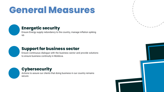## **General Measures**



#### **Energetic security**

#### **Support for business sector**

#### **Cybersecurity**

Ensure Energy supply redundancy to the country, manage inflation spiking up.



Ensure continuous dialogue with the business sector and provide solutions to ensure business continuity in Moldova.



Actions to assure our clients that doing business in our country remains secure.